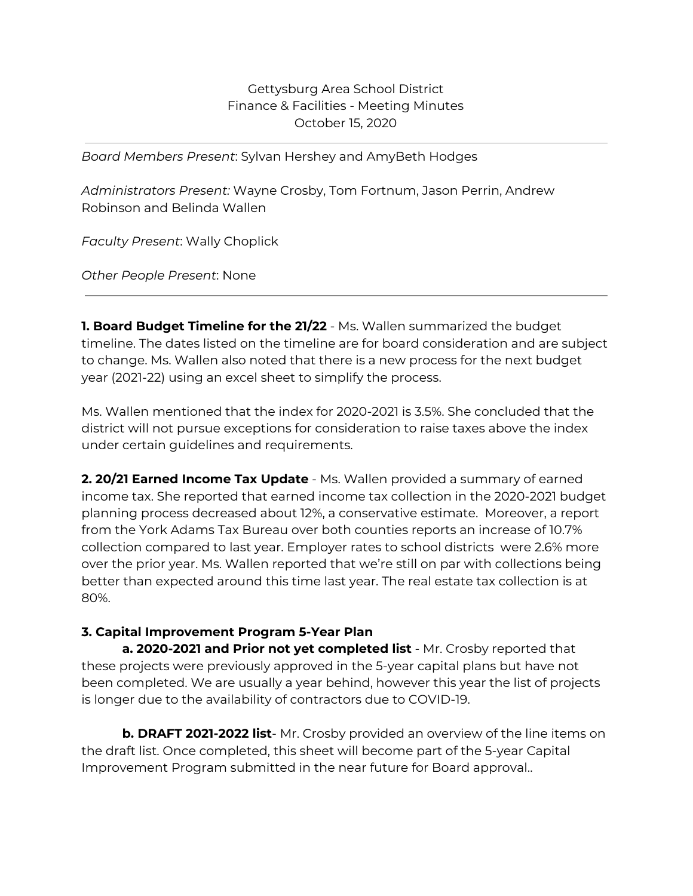## Gettysburg Area School District Finance & Facilities - Meeting Minutes October 15, 2020

*Board Members Present*: Sylvan Hershey and AmyBeth Hodges

*Administrators Present:* Wayne Crosby, Tom Fortnum, Jason Perrin, Andrew Robinson and Belinda Wallen

*Faculty Present*: Wally Choplick

*Other People Present*: None

**1. Board Budget Timeline for the 21/22** - Ms. Wallen summarized the budget timeline. The dates listed on the timeline are for board consideration and are subject to change. Ms. Wallen also noted that there is a new process for the next budget year (2021-22) using an excel sheet to simplify the process.

Ms. Wallen mentioned that the index for 2020-2021 is 3.5%. She concluded that the district will not pursue exceptions for consideration to raise taxes above the index under certain guidelines and requirements.

**2. 20/21 Earned Income Tax Update** - Ms. Wallen provided a summary of earned income tax. She reported that earned income tax collection in the 2020-2021 budget planning process decreased about 12%, a conservative estimate. Moreover, a report from the York Adams Tax Bureau over both counties reports an increase of 10.7% collection compared to last year. Employer rates to school districts were 2.6% more over the prior year. Ms. Wallen reported that we're still on par with collections being better than expected around this time last year. The real estate tax collection is at 80%.

## **3. Capital Improvement Program 5-Year Plan**

**a. 2020-2021 and Prior not yet completed list** - Mr. Crosby reported that these projects were previously approved in the 5-year capital plans but have not been completed. We are usually a year behind, however this year the list of projects is longer due to the availability of contractors due to COVID-19.

**b. DRAFT 2021-2022 list**- Mr. Crosby provided an overview of the line items on the draft list. Once completed, this sheet will become part of the 5-year Capital Improvement Program submitted in the near future for Board approval..